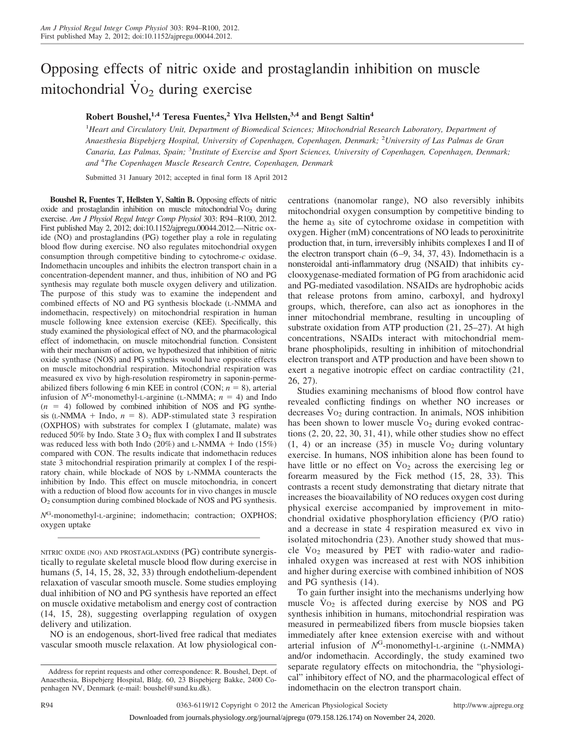# Opposing effects of nitric oxide and prostaglandin inhibition on muscle mitochondrial  $\overline{V}$  O<sub>2</sub> during exercise

# **Robert Boushel,1,4 Teresa Fuentes,<sup>2</sup> Ylva Hellsten,3,4 and Bengt Saltin<sup>4</sup>**

1 *Heart and Circulatory Unit, Department of Biomedical Sciences; Mitochondrial Research Laboratory, Department of Anaesthesia Bispebjerg Hospital, University of Copenhagen, Copenhagen, Denmark;* <sup>2</sup> *University of Las Palmas de Gran Canaria, Las Palmas, Spain;* <sup>3</sup> *Institute of Exercise and Sport Sciences, University of Copenhagen, Copenhagen, Denmark; and* <sup>4</sup> *The Copenhagen Muscle Research Centre, Copenhagen, Denmark*

Submitted 31 January 2012; accepted in final form 18 April 2012

**Boushel R, Fuentes T, Hellsten Y, Saltin B.** Opposing effects of nitric oxide and prostaglandin inhibition on muscle mitochondrial  $\rm Vo_2$  during exercise. *Am J Physiol Regul Integr Comp Physiol* 303: R94–R100, 2012. First published May 2, 2012; doi:10.1152/ajpregu.00044.2012.—Nitric oxide (NO) and prostaglandins (PG) together play a role in regulating blood flow during exercise. NO also regulates mitochondrial oxygen consumption through competitive binding to cytochrome-*c* oxidase. Indomethacin uncouples and inhibits the electron transport chain in a concentration-dependent manner, and thus, inhibition of NO and PG synthesis may regulate both muscle oxygen delivery and utilization. The purpose of this study was to examine the independent and combined effects of NO and PG synthesis blockade (L-NMMA and indomethacin, respectively) on mitochondrial respiration in human muscle following knee extension exercise (KEE). Specifically, this study examined the physiological effect of NO, and the pharmacological effect of indomethacin, on muscle mitochondrial function. Consistent with their mechanism of action, we hypothesized that inhibition of nitric oxide synthase (NOS) and PG synthesis would have opposite effects on muscle mitochondrial respiration. Mitochondrial respiration was measured ex vivo by high-resolution respirometry in saponin-permeabilized fibers following 6 min KEE in control (CON;  $n = 8$ ), arterial infusion of  $N<sup>G</sup>$ -monomethyl-L-arginine (L-NMMA;  $n = 4$ ) and Indo  $(n = 4)$  followed by combined inhibition of NOS and PG synthesis (L-NMMA  $+$  Indo,  $n = 8$ ). ADP-stimulated state 3 respiration (OXPHOS) with substrates for complex I (glutamate, malate) was reduced 50% by Indo. State  $3 O_2$  flux with complex I and II substrates was reduced less with both Indo  $(20\%)$  and L-NMMA + Indo  $(15\%)$ compared with CON. The results indicate that indomethacin reduces state 3 mitochondrial respiration primarily at complex I of the respiratory chain, while blockade of NOS by L-NMMA counteracts the inhibition by Indo. This effect on muscle mitochondria, in concert with a reduction of blood flow accounts for in vivo changes in muscle O2 consumption during combined blockade of NOS and PG synthesis.

*N*G-monomethyl-L-arginine; indomethacin; contraction; OXPHOS; oxygen uptake

NITRIC OXIDE (NO) AND PROSTAGLANDINS (PG) contribute synergistically to regulate skeletal muscle blood flow during exercise in humans (5, 14, 15, 28, 32, 33) through endothelium-dependent relaxation of vascular smooth muscle. Some studies employing dual inhibition of NO and PG synthesis have reported an effect on muscle oxidative metabolism and energy cost of contraction (14, 15, 28), suggesting overlapping regulation of oxygen delivery and utilization.

NO is an endogenous, short-lived free radical that mediates vascular smooth muscle relaxation. At low physiological concentrations (nanomolar range), NO also reversibly inhibits mitochondrial oxygen consumption by competitive binding to the heme  $a_3$  site of cytochrome oxidase in competition with oxygen. Higher (mM) concentrations of NO leads to peroxinitrite production that, in turn, irreversibly inhibits complexes I and II of the electron transport chain  $(6-9, 34, 37, 43)$ . Indomethacin is a nonsteroidal anti-inflammatory drug (NSAID) that inhibits cyclooxygenase-mediated formation of PG from arachidonic acid and PG-mediated vasodilation. NSAIDs are hydrophobic acids that release protons from amino, carboxyl, and hydroxyl groups, which, therefore, can also act as ionophores in the inner mitochondrial membrane, resulting in uncoupling of substrate oxidation from ATP production (21, 25–27). At high concentrations, NSAIDs interact with mitochondrial membrane phospholipids, resulting in inhibition of mitochondrial electron transport and ATP production and have been shown to exert a negative inotropic effect on cardiac contractility (21, 26, 27).

Studies examining mechanisms of blood flow control have revealed conflicting findings on whether NO increases or decreases  $V_{O_2}$  during contraction. In animals, NOS inhibition has been shown to lower muscle  $\overline{V}o_2$  during evoked contractions (2, 20, 22, 30, 31, 41), while other studies show no effect  $(1, 4)$  or an increase (35) in muscle  $\overline{V}o_2$  during voluntary exercise. In humans, NOS inhibition alone has been found to have little or no effect on  $\mathrm{V}_{\mathrm{O}_2}$  across the exercising leg or forearm measured by the Fick method (15, 28, 33). This contrasts a recent study demonstrating that dietary nitrate that increases the bioavailability of NO reduces oxygen cost during physical exercise accompanied by improvement in mitochondrial oxidative phosphorylation efficiency (P/O ratio) and a decrease in state 4 respiration measured ex vivo in isolated mitochondria (23). Another study showed that muscle  $\overline{V}$  o<sub>2</sub> measured by PET with radio-water and radioinhaled oxygen was increased at rest with NOS inhibition and higher during exercise with combined inhibition of NOS and PG synthesis (14).

To gain further insight into the mechanisms underlying how muscle  $Vo_2$  is affected during exercise by NOS and PG synthesis inhibition in humans, mitochondrial respiration was measured in permeabilized fibers from muscle biopsies taken immediately after knee extension exercise with and without arterial infusion of *N*G-monomethyl-L-arginine (L-NMMA) and/or indomethacin. Accordingly, the study examined two separate regulatory effects on mitochondria, the "physiological" inhibitory effect of NO, and the pharmacological effect of indomethacin on the electron transport chain.

Address for reprint requests and other correspondence: R. Boushel, Dept. of Anaesthesia, Bispebjerg Hospital, Bldg. 60, 23 Bispebjerg Bakke, 2400 Copenhagen NV, Denmark (e-mail: boushel@sund.ku.dk).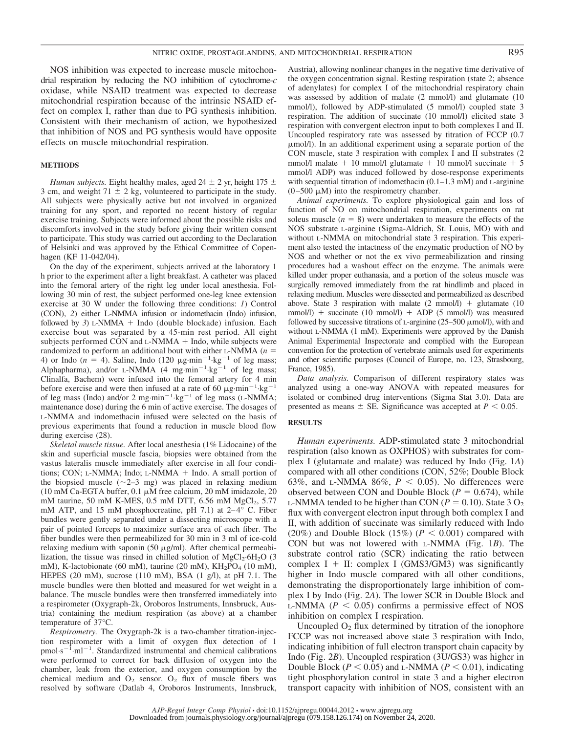NOS inhibition was expected to increase muscle mitochondrial respiration by reducing the NO inhibition of cytochrome-*c* oxidase, while NSAID treatment was expected to decrease mitochondrial respiration because of the intrinsic NSAID effect on complex I, rather than due to PG synthesis inhibition. Consistent with their mechanism of action, we hypothesized that inhibition of NOS and PG synthesis would have opposite effects on muscle mitochondrial respiration.

#### **METHODS**

*Human subjects.* Eight healthy males, aged  $24 \pm 2$  yr, height 175  $\pm$ 3 cm, and weight  $71 \pm 2$  kg, volunteered to participate in the study. All subjects were physically active but not involved in organized training for any sport, and reported no recent history of regular exercise training. Subjects were informed about the possible risks and discomforts involved in the study before giving their written consent to participate. This study was carried out according to the Declaration of Helsinki and was approved by the Ethical Committee of Copenhagen (KF 11-042/04).

On the day of the experiment, subjects arrived at the laboratory 1 h prior to the experiment after a light breakfast. A catheter was placed into the femoral artery of the right leg under local anesthesia. Following 30 min of rest, the subject performed one-leg knee extension exercise at 30 W under the following three conditions: *1*) Control (CON), *2*) either L-NMMA infusion or indomethacin (Indo) infusion, followed by 3) L-NMMA + Indo (double blockade) infusion. Each exercise bout was separated by a 45-min rest period. All eight subjects performed CON and L-NMMA + Indo, while subjects were randomized to perform an additional bout with either L-NMMA (*n* 4) or Indo ( $n = 4$ ). Saline, Indo (120  $\mu$ g·min<sup>-1</sup>·kg<sup>-1</sup> of leg mass; Alphapharma), and/or L-NMMA  $(4 \text{ mg-min}^{-1} \text{ kg}^{-1}$  of leg mass; Clinalfa, Bachem) were infused into the femoral artery for 4 min before exercise and were then infused at a rate of 60  $\mu$ g·min<sup>-1</sup>·kg<sup>-1</sup> of leg mass (Indo) and/or 2 mg·min<sup>-1</sup>·kg<sup>-1</sup> of leg mass (L-NMMA; maintenance dose) during the 6 min of active exercise. The dosages of L-NMMA and indomethacin infused were selected on the basis of previous experiments that found a reduction in muscle blood flow during exercise (28).

*Skeletal muscle tissue.* After local anesthesia (1% Lidocaine) of the skin and superficial muscle fascia, biopsies were obtained from the vastus lateralis muscle immediately after exercise in all four conditions; CON; L-NMMA; Indo; L-NMMA + Indo. A small portion of the biopsied muscle  $(\sim 2-3$  mg) was placed in relaxing medium (10 mM Ca-EGTA buffer,  $0.1 \mu$ M free calcium, 20 mM imidazole, 20 mM taurine, 50 mM K-MES, 0.5 mM DTT, 6.56 mM MgCl<sub>2</sub>, 5.77 mM ATP, and 15 mM phosphocreatine, pH 7.1) at  $2-4^{\circ}$  C. Fiber bundles were gently separated under a dissecting microscope with a pair of pointed forceps to maximize surface area of each fiber. The fiber bundles were then permeabilized for 30 min in 3 ml of ice-cold relaxing medium with saponin (50  $\mu$ g/ml). After chemical permeabilization, the tissue was rinsed in chilled solution of  $MgCl<sub>2</sub>·6H<sub>2</sub>O$  (3 mM), K-lactobionate (60 mM), taurine (20 mM),  $KH<sub>2</sub>PO<sub>4</sub>$  (10 mM), HEPES (20 mM), sucrose (110 mM), BSA (1 g/l), at pH 7.1. The muscle bundles were then blotted and measured for wet weight in a balance. The muscle bundles were then transferred immediately into a respirometer (Oxygraph-2k, Oroboros Instruments, Innsbruck, Austria) containing the medium respiration (as above) at a chamber temperature of 37°C.

*Respirometry.* The Oxygraph-2k is a two-chamber titration-injection respirometer with a limit of oxygen flux detection of 1  $pmol·s<sup>-1</sup>·ml<sup>-1</sup>$ . Standardized instrumental and chemical calibrations were performed to correct for back diffusion of oxygen into the chamber, leak from the exterior, and oxygen consumption by the chemical medium and  $O_2$  sensor.  $O_2$  flux of muscle fibers was resolved by software (Datlab 4, Oroboros Instruments, Innsbruck,

Austria), allowing nonlinear changes in the negative time derivative of the oxygen concentration signal. Resting respiration (state 2; absence of adenylates) for complex I of the mitochondrial respiratory chain was assessed by addition of malate (2 mmol/l) and glutamate (10 mmol/l), followed by ADP-stimulated (5 mmol/l) coupled state 3 respiration. The addition of succinate (10 mmol/l) elicited state 3 respiration with convergent electron input to both complexes I and II. Uncoupled respiratory rate was assessed by titration of FCCP (0.7  $\mu$ mol/l). In an additional experiment using a separate portion of the CON muscle, state 3 respiration with complex I and II substrates (2  $mmol/l$  malate  $+$  10 mmol/l glutamate  $+$  10 mmol/l succinate  $+$  5 mmol/l ADP) was induced followed by dose-response experiments with sequential titration of indomethacin (0.1–1.3 mM) and L-arginine  $(0-500 \mu M)$  into the respirometry chamber.

*Animal experiments.* To explore physiological gain and loss of function of NO on mitochondrial respiration, experiments on rat soleus muscle  $(n = 8)$  were undertaken to measure the effects of the NOS substrate L-arginine (Sigma-Aldrich, St. Louis, MO) with and without L-NMMA on mitochondrial state 3 respiration. This experiment also tested the intactness of the enzymatic production of NO by NOS and whether or not the ex vivo permeabilization and rinsing procedures had a washout effect on the enzyme. The animals were killed under proper euthanasia, and a portion of the soleus muscle was surgically removed immediately from the rat hindlimb and placed in relaxing medium. Muscles were dissected and permeabilized as described above. State 3 respiration with malate  $(2 \text{ mmol/l})$  + glutamate  $(10 \text{ mmol/l})$ mmol/l) + succinate (10 mmol/l) + ADP (5 mmol/l) was measured followed by successive titrations of L-arginine  $(25–500 \mu \text{mol/l})$ , with and without L-NMMA (1 mM). Experiments were approved by the Danish Animal Experimental Inspectorate and complied with the European convention for the protection of vertebrate animals used for experiments and other scientific purposes (Council of Europe, no. 123, Strasbourg, France, 1985).

*Data analysis.* Comparison of different respiratory states was analyzed using a one-way ANOVA with repeated measures for isolated or combined drug interventions (Sigma Stat 3.0). Data are presented as means  $\pm$  SE. Significance was accepted at  $P < 0.05$ .

#### **RESULTS**

*Human experiments.* ADP-stimulated state 3 mitochondrial respiration (also known as OXPHOS) with substrates for complex I (glutamate and malate) was reduced by Indo (Fig. 1*A*) compared with all other conditions (CON, 52%; Double Block 63%, and L-NMMA 86%,  $P < 0.05$ ). No differences were observed between CON and Double Block ( $P = 0.674$ ), while L-NMMA tended to be higher than CON ( $P = 0.10$ ). State 3 O<sub>2</sub> flux with convergent electron input through both complex I and II, with addition of succinate was similarly reduced with Indo (20%) and Double Block (15%) ( $P < 0.001$ ) compared with CON but was not lowered with L-NMMA (Fig. 1*B*). The substrate control ratio (SCR) indicating the ratio between complex  $I + II$ : complex I (GMS3/GM3) was significantly higher in Indo muscle compared with all other conditions, demonstrating the disproportionately large inhibition of complex I by Indo (Fig. 2*A*). The lower SCR in Double Block and  $L-NMMA$  ( $P < 0.05$ ) confirms a permissive effect of NOS inhibition on complex I respiration.

Uncoupled  $O_2$  flux determined by titration of the ionophore FCCP was not increased above state 3 respiration with Indo, indicating inhibition of full electron transport chain capacity by Indo (Fig. 2*B*). Uncoupled respiration (3U/GS3) was higher in Double Block ( $P < 0.05$ ) and L-NMMA ( $P < 0.01$ ), indicating tight phosphorylation control in state 3 and a higher electron transport capacity with inhibition of NOS, consistent with an

*AJP-Regul Integr Comp Physiol* • doi:10.1152/ajpregu.00044.2012 • www.ajpregu.org Downloaded from journals.physiology.org/journal/ajpregu (079.158.126.174) on November 24, 2020.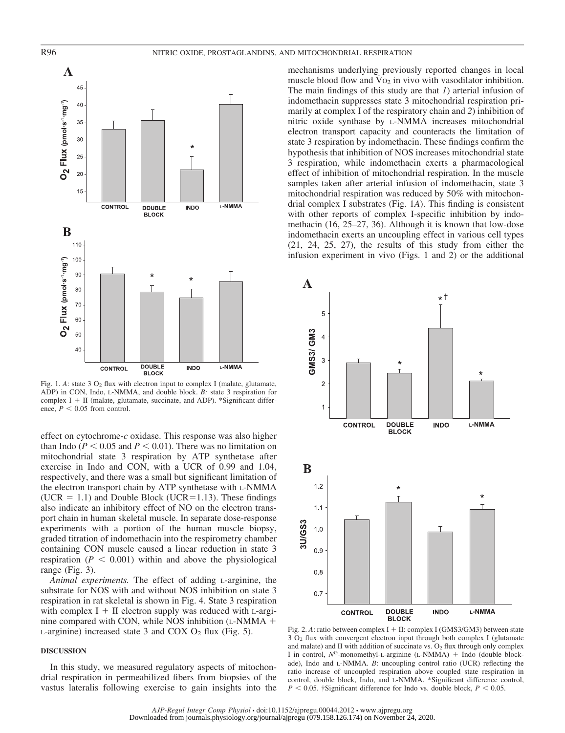

Fig. 1.  $A$ : state 3  $O_2$  flux with electron input to complex I (malate, glutamate, ADP) in CON, Indo, L-NMMA, and double block. *B:* state 3 respiration for complex  $I + II$  (malate, glutamate, succinate, and ADP). \*Significant difference,  $P < 0.05$  from control.

effect on cytochrome-*c* oxidase. This response was also higher than Indo ( $P \le 0.05$  and  $P \le 0.01$ ). There was no limitation on mitochondrial state 3 respiration by ATP synthetase after exercise in Indo and CON, with a UCR of 0.99 and 1.04, respectively, and there was a small but significant limitation of the electron transport chain by ATP synthetase with L-NMMA (UCR  $= 1.1$ ) and Double Block (UCR=1.13). These findings also indicate an inhibitory effect of NO on the electron transport chain in human skeletal muscle. In separate dose-response experiments with a portion of the human muscle biopsy, graded titration of indomethacin into the respirometry chamber containing CON muscle caused a linear reduction in state 3 respiration ( $P < 0.001$ ) within and above the physiological range (Fig. 3).

*Animal experiments.* The effect of adding L-arginine, the substrate for NOS with and without NOS inhibition on state 3 respiration in rat skeletal is shown in Fig. 4. State 3 respiration with complex  $I + II$  electron supply was reduced with L-arginine compared with CON, while NOS inhibition (L-NMMA -  $L$ -arginine) increased state 3 and COX  $O_2$  flux (Fig. 5).

## **DISCUSSION**

In this study, we measured regulatory aspects of mitochondrial respiration in permeabilized fibers from biopsies of the vastus lateralis following exercise to gain insights into the

mechanisms underlying previously reported changes in local muscle blood flow and  $Vo_2$  in vivo with vasodilator inhibition. The main findings of this study are that *1*) arterial infusion of indomethacin suppresses state 3 mitochondrial respiration primarily at complex I of the respiratory chain and *2*) inhibition of nitric oxide synthase by L-NMMA increases mitochondrial electron transport capacity and counteracts the limitation of state 3 respiration by indomethacin. These findings confirm the hypothesis that inhibition of NOS increases mitochondrial state 3 respiration, while indomethacin exerts a pharmacological effect of inhibition of mitochondrial respiration. In the muscle samples taken after arterial infusion of indomethacin, state 3 mitochondrial respiration was reduced by 50% with mitochondrial complex I substrates (Fig. 1*A*). This finding is consistent with other reports of complex I-specific inhibition by indomethacin (16, 25–27, 36). Although it is known that low-dose indomethacin exerts an uncoupling effect in various cell types (21, 24, 25, 27), the results of this study from either the infusion experiment in vivo (Figs. 1 and 2) or the additional



Fig. 2. A: ratio between complex I + II: complex I (GMS3/GM3) between state  $3$  O<sub>2</sub> flux with convergent electron input through both complex I (glutamate and malate) and II with addition of succinate vs.  $O<sub>2</sub>$  flux through only complex I in control, N<sup>G</sup>-monomethyl-L-arginine (L-NMMA) + Indo (double blockade), Indo and L-NMMA. *B*: uncoupling control ratio (UCR) reflecting the ratio increase of uncoupled respiration above coupled state respiration in control, double block, Indo, and L-NMMA. \*Significant difference control,  $P < 0.05$ . †Significant difference for Indo vs. double block,  $P < 0.05$ .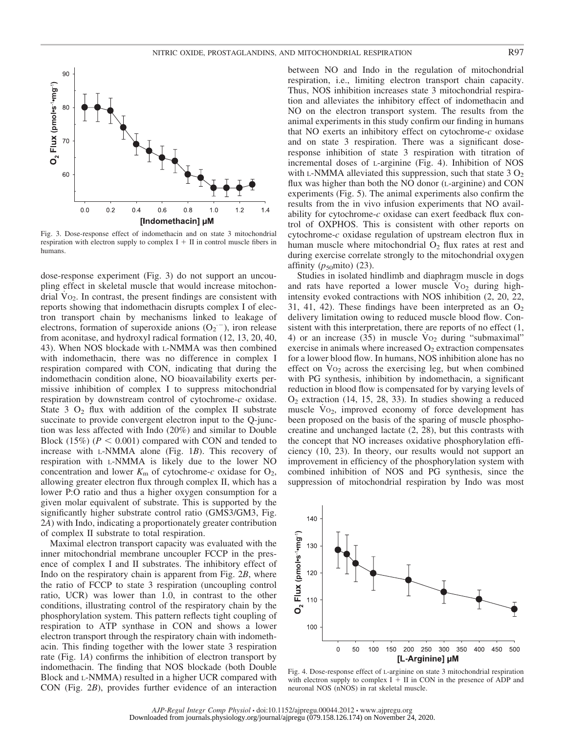

Fig. 3. Dose-response effect of indomethacin and on state 3 mitochondrial respiration with electron supply to complex  $I + II$  in control muscle fibers in humans.

dose-response experiment (Fig. 3) do not support an uncoupling effect in skeletal muscle that would increase mitochondrial  $Vo_2$ . In contrast, the present findings are consistent with reports showing that indomethacin disrupts complex I of electron transport chain by mechanisms linked to leakage of electrons, formation of superoxide anions  $(O_2^-)$ , iron release from aconitase, and hydroxyl radical formation (12, 13, 20, 40, 43). When NOS blockade with L-NMMA was then combined with indomethacin, there was no difference in complex I respiration compared with CON, indicating that during the indomethacin condition alone, NO bioavailability exerts permissive inhibition of complex I to suppress mitochondrial respiration by downstream control of cytochrome-*c* oxidase. State 3  $O_2$  flux with addition of the complex II substrate succinate to provide convergent electron input to the Q-junction was less affected with Indo (20%) and similar to Double Block  $(15\%)$  ( $P < 0.001$ ) compared with CON and tended to increase with L-NMMA alone (Fig. 1*B*). This recovery of respiration with L-NMMA is likely due to the lower NO concentration and lower  $K_m$  of cytochrome- $c$  oxidase for  $O_2$ , allowing greater electron flux through complex II, which has a lower P:O ratio and thus a higher oxygen consumption for a given molar equivalent of substrate. This is supported by the significantly higher substrate control ratio (GMS3/GM3, Fig. 2*A*) with Indo, indicating a proportionately greater contribution of complex II substrate to total respiration.

Maximal electron transport capacity was evaluated with the inner mitochondrial membrane uncoupler FCCP in the presence of complex I and II substrates. The inhibitory effect of Indo on the respiratory chain is apparent from Fig. 2*B*, where the ratio of FCCP to state 3 respiration (uncoupling control ratio, UCR) was lower than 1.0, in contrast to the other conditions, illustrating control of the respiratory chain by the phosphorylation system. This pattern reflects tight coupling of respiration to ATP synthase in CON and shows a lower electron transport through the respiratory chain with indomethacin. This finding together with the lower state 3 respiration rate (Fig. 1*A*) confirms the inhibition of electron transport by indomethacin. The finding that NOS blockade (both Double Block and L-NMMA) resulted in a higher UCR compared with CON (Fig. 2*B*), provides further evidence of an interaction

between NO and Indo in the regulation of mitochondrial respiration, i.e., limiting electron transport chain capacity. Thus, NOS inhibition increases state 3 mitochondrial respiration and alleviates the inhibitory effect of indomethacin and NO on the electron transport system. The results from the animal experiments in this study confirm our finding in humans that NO exerts an inhibitory effect on cytochrome-*c* oxidase and on state 3 respiration. There was a significant doseresponse inhibition of state 3 respiration with titration of incremental doses of L-arginine (Fig. 4). Inhibition of NOS with L-NMMA alleviated this suppression, such that state  $3 O<sub>2</sub>$ flux was higher than both the NO donor (L-arginine) and CON experiments (Fig. 5). The animal experiments also confirm the results from the in vivo infusion experiments that NO availability for cytochrome-*c* oxidase can exert feedback flux control of OXPHOS. This is consistent with other reports on cytochrome-*c* oxidase regulation of upstream electron flux in human muscle where mitochondrial  $O_2$  flux rates at rest and during exercise correlate strongly to the mitochondrial oxygen affinity  $(p_{50}$ mito) (23).

Studies in isolated hindlimb and diaphragm muscle in dogs and rats have reported a lower muscle  $Vo<sub>2</sub>$  during highintensity evoked contractions with NOS inhibition (2, 20, 22, 31, 41, 42). These findings have been interpreted as an  $O_2$ delivery limitation owing to reduced muscle blood flow. Consistent with this interpretation, there are reports of no effect (1, 4) or an increase  $(35)$  in muscle  $Vo<sub>2</sub>$  during "submaximal" exercise in animals where increased  $O<sub>2</sub>$  extraction compensates for a lower blood flow. In humans, NOS inhibition alone has no effect on  $Vo<sub>2</sub>$  across the exercising leg, but when combined with PG synthesis, inhibition by indomethacin, a significant reduction in blood flow is compensated for by varying levels of  $O<sub>2</sub>$  extraction (14, 15, 28, 33). In studies showing a reduced muscle  $Vo_2$ , improved economy of force development has been proposed on the basis of the sparing of muscle phosphocreatine and unchanged lactate (2, 28), but this contrasts with the concept that NO increases oxidative phosphorylation efficiency (10, 23). In theory, our results would not support an improvement in efficiency of the phosphorylation system with combined inhibition of NOS and PG synthesis, since the suppression of mitochondrial respiration by Indo was most



Fig. 4. Dose-response effect of L-arginine on state 3 mitochondrial respiration with electron supply to complex  $I + II$  in CON in the presence of ADP and neuronal NOS (nNOS) in rat skeletal muscle.

*AJP-Regul Integr Comp Physiol* • doi:10.1152/ajpregu.00044.2012 • www.ajpregu.org Downloaded from journals.physiology.org/journal/ajpregu (079.158.126.174) on November 24, 2020.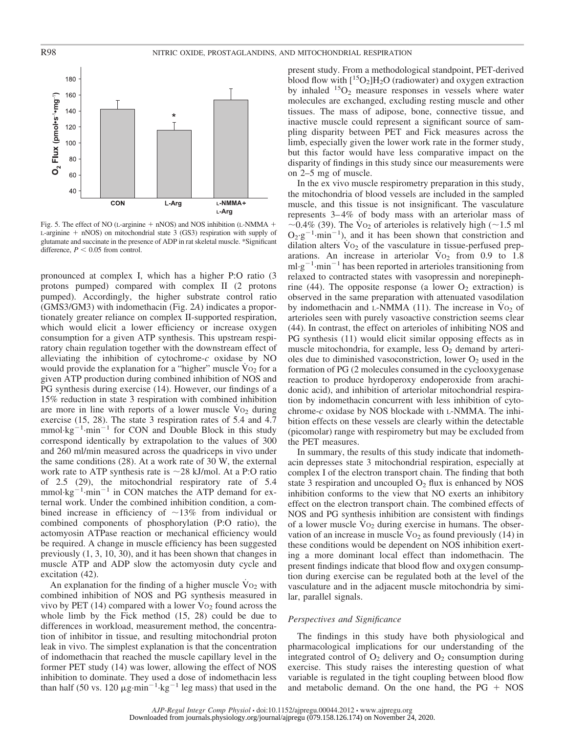

Fig. 5. The effect of NO (L-arginine  $+$  nNOS) and NOS inhibition (L-NMMA  $+$  $L$ -arginine  $+$  nNOS) on mitochondrial state 3 (GS3) respiration with supply of glutamate and succinate in the presence of ADP in rat skeletal muscle. \*Significant difference,  $P < 0.05$  from control.

pronounced at complex I, which has a higher P:O ratio (3 protons pumped) compared with complex II (2 protons pumped). Accordingly, the higher substrate control ratio (GMS3/GM3) with indomethacin (Fig. 2*A*) indicates a proportionately greater reliance on complex II-supported respiration, which would elicit a lower efficiency or increase oxygen consumption for a given ATP synthesis. This upstream respiratory chain regulation together with the downstream effect of alleviating the inhibition of cytochrome-*c* oxidase by NO would provide the explanation for a "higher" muscle  $V_{O<sub>2</sub>}$  for a given ATP production during combined inhibition of NOS and PG synthesis during exercise (14). However, our findings of a 15% reduction in state 3 respiration with combined inhibition are more in line with reports of a lower muscle  $Vo<sub>2</sub>$  during exercise (15, 28). The state 3 respiration rates of 5.4 and 4.7  $mmol·kg^{-1}·min^{-1}$  for CON and Double Block in this study correspond identically by extrapolation to the values of 300 and 260 ml/min measured across the quadriceps in vivo under the same conditions (28). At a work rate of 30 W, the external work rate to ATP synthesis rate is  $\sim$ 28 kJ/mol. At a P:O ratio of 2.5 (29), the mitochondrial respiratory rate of 5.4  $mmol·kg^{-1}·min^{-1}$  in CON matches the ATP demand for external work. Under the combined inhibition condition, a combined increase in efficiency of  $\sim$ 13% from individual or combined components of phosphorylation (P:O ratio), the actomyosin ATPase reaction or mechanical efficiency would be required. A change in muscle efficiency has been suggested previously (1, 3, 10, 30), and it has been shown that changes in muscle ATP and ADP slow the actomyosin duty cycle and excitation (42).

An explanation for the finding of a higher muscle  $\overline{V}$  o<sub>2</sub> with combined inhibition of NOS and PG synthesis measured in vivo by PET (14) compared with a lower  $\text{Vo}_2$  found across the whole limb by the Fick method (15, 28) could be due to differences in workload, measurement method, the concentration of inhibitor in tissue, and resulting mitochondrial proton leak in vivo. The simplest explanation is that the concentration of indomethacin that reached the muscle capillary level in the former PET study (14) was lower, allowing the effect of NOS inhibition to dominate. They used a dose of indomethacin less than half (50 vs. 120  $\mu$ g·min<sup>-1</sup>·kg<sup>-1</sup> leg mass) that used in the

present study. From a methodological standpoint, PET-derived blood flow with  $\rm [^{15}O_2]H_2O$  (radiowater) and oxygen extraction by inhaled  ${}^{15}O_2$  measure responses in vessels where water molecules are exchanged, excluding resting muscle and other tissues. The mass of adipose, bone, connective tissue, and inactive muscle could represent a significant source of sampling disparity between PET and Fick measures across the limb, especially given the lower work rate in the former study, but this factor would have less comparative impact on the disparity of findings in this study since our measurements were on 2–5 mg of muscle.

In the ex vivo muscle respirometry preparation in this study, the mitochondria of blood vessels are included in the sampled muscle, and this tissue is not insignificant. The vasculature represents 3– 4% of body mass with an arteriolar mass of  $\sim$ 0.4% (39). The V<sub>O2</sub> of arterioles is relatively high ( $\sim$ 1.5 ml  $O_2$ ·g<sup>-1</sup>·min<sup>-1</sup>), and it has been shown that constriction and dilation alters  $\dot{V}$  O<sub>2</sub> of the vasculature in tissue-perfused preparations. An increase in arteriolar  $V_{O_2}$  from 0.9 to 1.8  $ml·g^{-1}·min^{-1}$  has been reported in arterioles transitioning from relaxed to contracted states with vasopressin and norepinephrine (44). The opposite response (a lower  $O_2$  extraction) is observed in the same preparation with attenuated vasodilation by indomethacin and L-NMMA (11). The increase in  $V_{O_2}$  of arterioles seen with purely vasoactive constriction seems clear (44). In contrast, the effect on arterioles of inhibiting NOS and PG synthesis (11) would elicit similar opposing effects as in muscle mitochondria, for example, less  $O_2$  demand by arterioles due to diminished vasoconstriction, lower  $O<sub>2</sub>$  used in the formation of PG (2 molecules consumed in the cyclooxygenase reaction to produce hyrdoperoxy endoperoxide from arachidonic acid), and inhibition of arteriolar mitochondrial respiration by indomethacin concurrent with less inhibition of cytochrome-*c* oxidase by NOS blockade with L-NMMA. The inhibition effects on these vessels are clearly within the detectable (picomolar) range with respirometry but may be excluded from the PET measures.

In summary, the results of this study indicate that indomethacin depresses state 3 mitochondrial respiration, especially at complex I of the electron transport chain. The finding that both state 3 respiration and uncoupled  $O_2$  flux is enhanced by NOS inhibition conforms to the view that NO exerts an inhibitory effect on the electron transport chain. The combined effects of NOS and PG synthesis inhibition are consistent with findings of a lower muscle  $Vo_2$  during exercise in humans. The observation of an increase in muscle  $\rm V_{O_2}$  as found previously (14) in these conditions would be dependent on NOS inhibition exerting a more dominant local effect than indomethacin. The present findings indicate that blood flow and oxygen consumption during exercise can be regulated both at the level of the vasculature and in the adjacent muscle mitochondria by similar, parallel signals.

### *Perspectives and Significance*

The findings in this study have both physiological and pharmacological implications for our understanding of the integrated control of  $O_2$  delivery and  $O_2$  consumption during exercise. This study raises the interesting question of what variable is regulated in the tight coupling between blood flow and metabolic demand. On the one hand, the  $PG + NOS$ 

*AJP-Regul Integr Comp Physiol* • doi:10.1152/ajpregu.00044.2012 • www.ajpregu.org Downloaded from journals.physiology.org/journal/ajpregu (079.158.126.174) on November 24, 2020.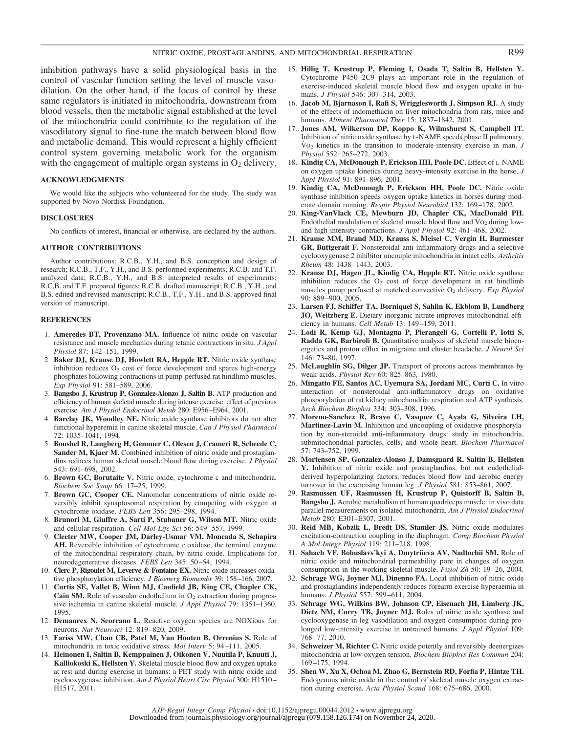inhibition pathways have a solid physiological basis in the control of vascular function setting the level of muscle vasodilation. On the other hand, if the locus of control by these same regulators is initiated in mitochondria, downstream from blood vessels, then the metabolic signal established at the level of the mitochondria could contribute to the regulation of the vasodilatory signal to fine-tune the match between blood flow and metabolic demand. This would represent a highly efficient control system governing metabolic work for the organism with the engagement of multiple organ systems in  $O_2$  delivery.

#### **ACKNOWLEDGMENTS**

We would like the subjects who volunteered for the study. The study was supported by Novo Nordisk Foundation.

#### **DISCLOSURES**

No conflicts of interest, financial or otherwise, are declared by the authors.

#### **AUTHOR CONTRIBUTIONS**

Author contributions: R.C.B., Y.H., and B.S. conception and design of research; R.C.B., T.F., Y.H., and B.S. performed experiments; R.C.B. and T.F. analyzed data; R.C.B., Y.H., and B.S. interpreted results of experiments; R.C.B. and T.F. prepared figures; R.C.B. drafted manuscript; R.C.B., Y.H., and B.S. edited and revised manuscript; R.C.B., T.F., Y.H., and B.S. approved final version of manuscript.

#### **REFERENCES**

- 1. **Ameredes BT, Provenzano MA.** Influence of nitric oxide on vascular resistance and muscle mechanics during tetanic contractions in situ. *J Appl Physiol* 87: 142–151, 1999.
- 2. **Baker DJ, Krause DJ, Howlett RA, Hepple RT.** Nitric oxide synthase inhibition reduces  $O_2$  cost of force development and spares high-energy phosphates following contractions in pump-perfused rat hindlimb muscles. *Exp Physiol* 91: 581–589, 2006.
- 3. **Bangsbo J, Krustrup P, Gonzalez-Alonzo J, Saltin B.** ATP production and efficiency of human skeletal muscle during intense exercise: effect of previous exercise. *Am J Physiol Endocrinol Metab* 280: E956 –E964, 2001.
- 4. **Barclay JK, Woodley NE.** Nitric oxide synthase inhibitors do not alter functional hyperemia in canine skeletal muscle. *Can J Physiol Pharmacol* 72: 1035–1041, 1994.
- 5. **Boushel R, Langberg H, Gemmer C, Olesen J, Crameri R, Scheede C, Sander M, Kjaer M, Combined inhibition of nitric oxide and prostaglan**dins reduces human skeletal muscle blood flow during exercise. *J Physiol* 543: 691–698, 2002.
- 6. **Brown GC, Borutaite V.** Nitric oxide, cytochrome c and mitochondria. *Biochem Soc Symp* 66: 17–25, 1999.
- 7. **Brown GC, Cooper CE.** Nanomolar concentrations of nitric oxide reversibly inhibit synaptosomal respiration by competing with oxygen at cytochrome oxidase. *FEBS Lett* 356: 295–298, 1994.
- 8. **Brunori M, Giuffre A, Sarti P, Stubauer G, Wilson MT.** Nitric oxide and cellular respiration. *Cell Mol Life Sci* 56: 549 –557, 1999.
- 9. **Cleeter MW, Cooper JM, Darley-Usmar VM, Moncada S, Schapira AH.** Reversible inhibition of cytochrome *c* oxidase, the terminal enzyme of the mitochondrial respiratory chain, by nitric oxide. Implications for neurodegenerative diseases. *FEBS Lett* 345: 50 –54, 1994.
- 10. **Clerc P, Rigoulet M, Leverve & Fontaine EX.** Nitric oxide increases oxidative phosphorylation efficiency. *J Bioenerg Biomembr* 39: 158 –166, 2007.
- 11. **Curtis SE, Vallet B, Winn MJ, Caufield JB, King CE, Chapler CK,** Cain SM. Role of vascular endothelium in O<sub>2</sub> extraction during progressive ischemia in canine skeletal muscle. *J Appl Physiol* 79: 1351–1360, 1995.
- 12. **Demaurex N, Scorrano L.** Reactive oxygen species are NOXious for neurons. *Nat Neurosci* 12: 819 –820, 2009.
- 13. **Fariss MW, Chan CB, Patel M, Van Houten B, Orrenius S.** Role of mitochondria in toxic oxidative stress. *Mol Interv* 5: 94 –111, 2005.
- 14. **Heinonen I, Saltin B, Kemppainen J, Oikonen V, Nuutila P, Knuuti J, Kalliokoski K, Hellsten Y.** Skeletal muscle blood flow and oxygen uptake at rest and during exercise in humans: a PET study with nitric oxide and cyclooxygenase inhibition. *Am J Physiol Heart Circ Physiol* 300: H1510 – H1517, 2011.
- 15. **Hillig T, Krustrup P, Fleming I, Osada T, Saltin B, Hellsten Y.** Cytochrome P450 2C9 plays an important role in the regulation of exercise-induced skeletal muscle blood flow and oxygen uptake in humans. *J Physiol* 546: 307–314, 2003.
- 16. **Jacob M, Bjarnason I, Rafi S, Wrigglesworth J, Simpson RJ.** A study of the effects of indomethacin on liver mitochondria from rats, mice and humans. *Aliment Pharmacol Ther* 15: 1837–1842, 2001.
- 17. **Jones AM, Wilkerson DP, Koppo K, Wilmshurst S, Campbell IT.** Inhibition of nitric oxide synthase by L-NAME speeds phase II pulmonary. V˙ O2 kinetics in the transition to moderate-intensity exercise in man. *J Physiol* 552: 265–272, 2003.
- 18. **Kindig CA, McDonough P, Erickson HH, Poole DC.** Effect of L-NAME on oxygen uptake kinetics during heavy-intensity exercise in the horse. *J Appl Physiol* 91: 891–896, 2001.
- 19. **Kindig CA, McDonough P, Erickson HH, Poole DC.** Nitric oxide synthase inhibition speeds oxygen uptake kinetics in horses during moderate domain running. *Respir Physiol Neurobiol* 132: 169 –178, 2002.
- 20. **King-VanVlack CE, Mewburn JD, Chapler CK, MacDonald PH.** Endothelial modulation of skeletal muscle blood flow and  $Vo_2$  during lowand high-intensity contractions. *J Appl Physiol* 92: 461–468, 2002.
- 21. **Krause MM, Brand MD, Krauss S, Meisel C, Vergin H, Burmester GR, Buttgerait F.** Nonsteroidal anti-inflammatory drugs and a selective cyclooxygenase 2 inhibitor uncouple mitochondria in intact cells. *Arthritis Rheum* 48: 1438 –1443, 2003.
- 22. **Krause DJ, Hagen JL, Kindig CA, Hepple RT.** Nitric oxide synthase inhibition reduces the  $O<sub>2</sub>$  cost of force development in rat hindlimb muscles pump perfused at matched convective O2 delivery. *Exp Physiol* 90: 889 –900, 2005.
- 23. **Larsen FJ, Schiffer TA, Borniquel S, Sahlin K, Ekblom B, Lundberg JO, Weitzberg E.** Dietary inorganic nitrate improves mitochondrial efficiency in humans. *Cell Metab* 13: 149 –159, 2011.
- 24. **Lodi R, Kemp GJ, Montagna P, Pierangeli G, Cortelli P, Iotti S, Radda GK, Barbiroli B.** Quantitative analysis of skeletal muscle bioenergetics and proton efflux in migraine and cluster headache. *J Neurol Sci* 146: 73–80, 1997.
- 25. **McLaughlin SG, Dilger JP.** Transport of protons across membranes by weak acids. *Physiol Rev* 60: 825–863, 1980.
- 26. **Mingatto FE, Santos AC, Uyemura SA, Jordani MC, Curti C.** In vitro interaction of nonsteroidal anti-inflammatory drugs on oxidative phosporylation of rat kidney mitochondria: respiration and ATP synthesis. *Arch Biochem Biophys* 334: 303–308, 1996.
- 27. **Moreno-Sanchez R, Bravo C, Vasquez C, Ayala G, Silveira LH, Martinez-Lavin M.** Inhibition and uncoupling of oxidative phosphorylation by non-steroidal anti-inflammatory drugs: study in mitochondria, submitochondrial particles, cells, and whole heart. *Biochem Pharmacol* 57: 743–752, 1999.
- 28. **Mortensen SP, Gonzalez-Alonso J, Damsgaard R, Saltin B, Hellsten Y.** Inhibition of nitric oxide and prostaglandins, but not endothelialderived hyperpolarizing factors, reduces blood flow and aerobic energy turnover in the exercising human leg. *J Physiol* 581: 853–861, 2007.
- 29. **Rasmussen UF, Rasmussen H, Krustrup P, Quistorff B, Saltin B, Bangsbo J.** Aerobic metabolism of human quadriceps muscle: in vivo data parallel measurements on isolated mitochondria. *Am J Physiol Endocrinol Metab* 280: E301–E307, 2001.
- 30. **Reid MB, Kobzik L, Bredt DS, Stamler JS.** Nitric oxide modulates excitation-contraction coupling in the diaphragm. *Comp Biochem Physiol A Mol Integr Physiol* 119: 211–218, 1998.
- 31. **Sahach VF, Bohuslavs'kyi A, Dmytriieva AV, Nadtochii SM.** Role of nitric oxide and mitochondrial permeability pore in changes of oxygen consumption in the working skeletal muscle. *Fiziol Zh* 50: 19 –26, 2004.
- 32. **Schrage WG, Joyner MJ, Dinenno FA.** Local inhibition of nitric oxide and prostaglandins independently reduces forearm exercise hyperaemia in humans. *J Physiol* 557: 599 –611, 2004.
- 33. **Schrage WG, Wilkins BW, Johnson CP, Eisenach JH, Limberg JK, Dietz NM, Curry TB, Joyner MJ.** Roles of nitric oxide synthase and cyclooxygenase in leg vasodilation and oxygen consumption during prolonged low-intensity exercise in untrained humans. *J Appl Physiol* 109: 768 –77, 2010.
- 34. **Schweizer M, Richter C.** Nitric oxide potently and reversibly deenergizes mitochondria at low oxygen tension. *Biochem Biophys Res Commun* 204: 169 –175, 1994.
- 35. **Shen W, Xu X, Ochoa M, Zhao G, Bernstein RD, Forfia P, Hintze TH.** Endogenous nitric oxide in the control of skeletal muscle oxygen extraction during exercise. *Acta Physiol Scand* 168: 675–686, 2000.